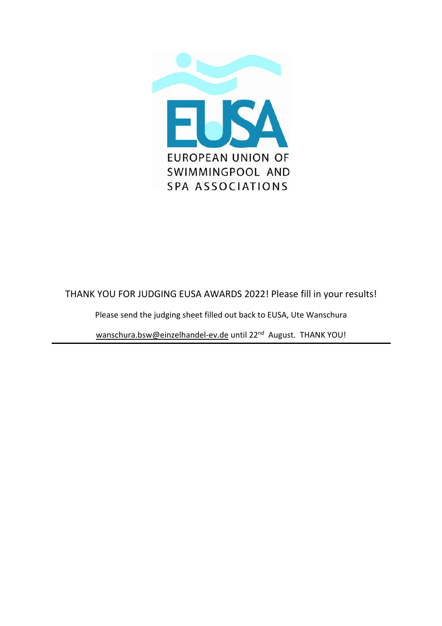

#### THANK YOU FOR JUDGING EUSA AWARDS 2022! Please fill in your results!

Please send the judging sheet filled out back to EUSA, Ute Wanschura

wanschura.bsw@einzelhandel‐ev.de until 22nd August. THANK YOU!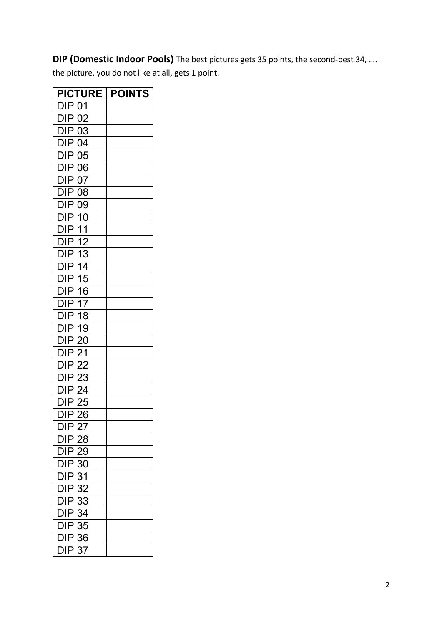#### **DIP (Domestic Indoor Pools)** The best pictures gets 35 points, the second-best 34, ....

the picture, you do not like at all, gets 1 point.

| <b>PICTURE</b>                                                     | <b>POINTS</b> |
|--------------------------------------------------------------------|---------------|
| DIP 01                                                             |               |
| <b>DIP 02</b>                                                      |               |
| <b>DIP 03</b>                                                      |               |
| <b>DIP 04</b>                                                      |               |
| DIP 05                                                             |               |
| <b>DIP 06</b>                                                      |               |
| <b>DIP 07</b>                                                      |               |
| <b>DIP 08</b>                                                      |               |
| <b>DIP 09</b>                                                      |               |
| <b>DIP 10</b>                                                      |               |
| <b>DIP 11</b>                                                      |               |
| <b>DIP 12</b>                                                      |               |
| <b>DIP 13</b>                                                      |               |
| <b>DIP 14</b>                                                      |               |
| <b>DIP 15</b>                                                      |               |
| <b>DIP 16</b>                                                      |               |
| <b>DIP 17</b>                                                      |               |
| <b>DIP 18</b>                                                      |               |
| <b>DIP 19</b>                                                      |               |
| <b>DIP 20</b>                                                      |               |
| <b>DIP 21</b>                                                      |               |
| <b>DIP 22</b>                                                      |               |
| <b>DIP 23</b>                                                      |               |
| <b>DIP 24</b>                                                      |               |
| <b>DIP 25</b>                                                      |               |
| <b>DIP 26</b>                                                      |               |
| DIP 27                                                             |               |
|                                                                    |               |
|                                                                    |               |
|                                                                    |               |
| DIP 28<br>DIP 29<br>DIP 30<br>DIP 31<br>DIP 32<br>DIP 33<br>DIP 34 |               |
|                                                                    |               |
|                                                                    |               |
|                                                                    |               |
| $DIP$ 35                                                           |               |
| <b>DIP 36</b>                                                      |               |
| <b>DIP 37</b>                                                      |               |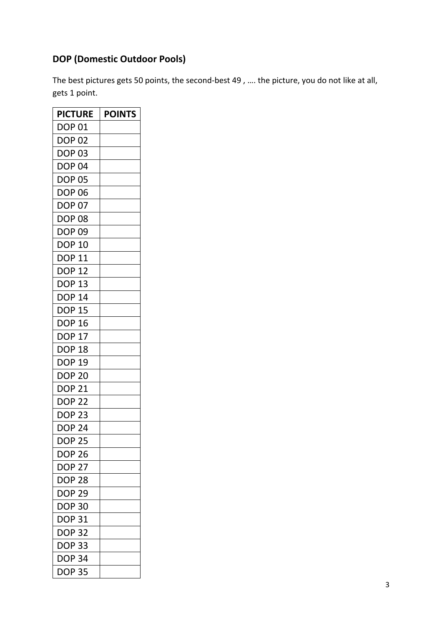# **DOP (Domestic Outdoor Pools)**

The best pictures gets 50 points, the second-best 49, .... the picture, you do not like at all, gets 1 point.

| <b>PICTURE</b> | <b>POINTS</b> |
|----------------|---------------|
| DOP 01         |               |
| <b>DOP 02</b>  |               |
| DOP 03         |               |
| <b>DOP 04</b>  |               |
| DOP 05         |               |
| <b>DOP 06</b>  |               |
| DOP 07         |               |
| DOP 08         |               |
| DOP 09         |               |
| <b>DOP 10</b>  |               |
| <b>DOP 11</b>  |               |
| <b>DOP 12</b>  |               |
| <b>DOP 13</b>  |               |
| DOP 14         |               |
| <b>DOP 15</b>  |               |
| DOP 16         |               |
| <b>DOP 17</b>  |               |
| DOP 18         |               |
| <b>DOP 19</b>  |               |
| DOP 20         |               |
| DOP 21         |               |
| <b>DOP 22</b>  |               |
| DOP 23         |               |
| <b>DOP 24</b>  |               |
| <b>DOP 25</b>  |               |
| <b>DOP 26</b>  |               |
| <b>DOP 27</b>  |               |
| <b>DOP 28</b>  |               |
| <b>DOP 29</b>  |               |
| <b>DOP 30</b>  |               |
| DOP 31         |               |
| <b>DOP 32</b>  |               |
| <b>DOP 33</b>  |               |
| <b>DOP 34</b>  |               |
| <b>DOP 35</b>  |               |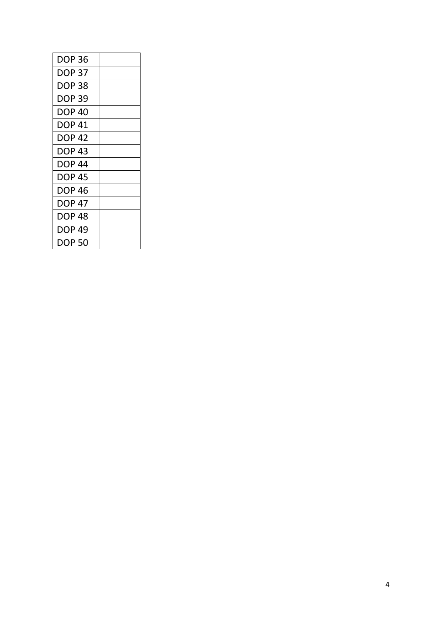| DOP 36 |  |
|--------|--|
| DOP 37 |  |
| DOP 38 |  |
| DOP 39 |  |
| DOP 40 |  |
| DOP 41 |  |
| DOP 42 |  |
| DOP 43 |  |
| DOP 44 |  |
| DOP 45 |  |
| DOP 46 |  |
| DOP 47 |  |
| DOP 48 |  |
| DOP 49 |  |
| DOP 50 |  |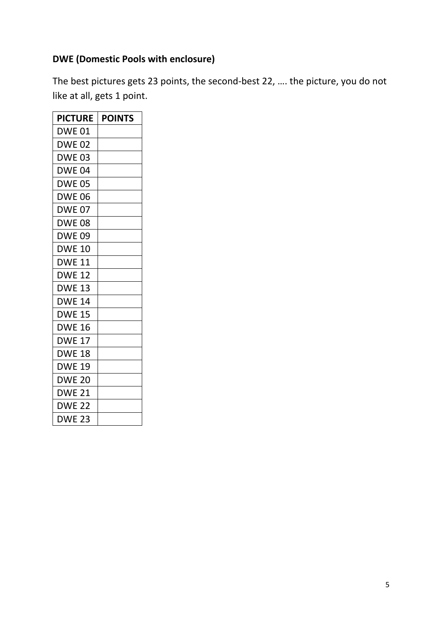#### **DWE (Domestic Pools with enclosure)**

The best pictures gets 23 points, the second‐best 22, …. the picture, you do not like at all, gets 1 point.

| <b>PICTURE</b> | <b>POINTS</b> |
|----------------|---------------|
| DWE 01         |               |
| DWE 02         |               |
| DWE 03         |               |
| DWE 04         |               |
| <b>DWE 05</b>  |               |
| <b>DWE 06</b>  |               |
| <b>DWE 07</b>  |               |
| <b>DWE 08</b>  |               |
| DWE 09         |               |
| DWE 10         |               |
| DWE 11         |               |
| DWE 12         |               |
| <b>DWE 13</b>  |               |
| <b>DWE 14</b>  |               |
| <b>DWE 15</b>  |               |
| <b>DWE 16</b>  |               |
| <b>DWE 17</b>  |               |
| <b>DWE 18</b>  |               |
| DWE 19         |               |
| <b>DWE 20</b>  |               |
| <b>DWE 21</b>  |               |
| <b>DWE 22</b>  |               |
| <b>DWE 23</b>  |               |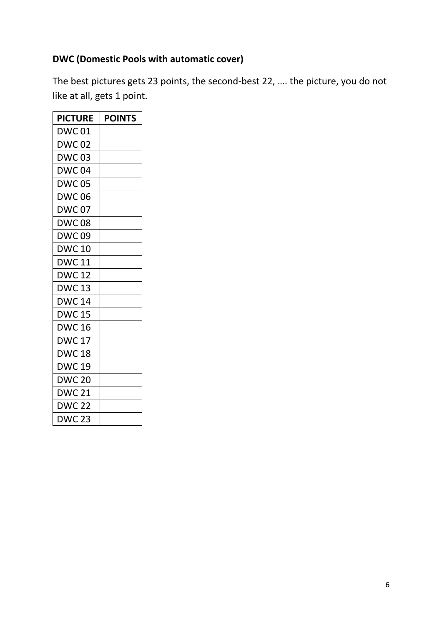# **DWC (Domestic Pools with automatic cover)**

The best pictures gets 23 points, the second‐best 22, …. the picture, you do not like at all, gets 1 point.

| <b>PICTURE</b> | <b>POINTS</b> |
|----------------|---------------|
| DWC 01         |               |
| DWC 02         |               |
| DWC 03         |               |
| <b>DWC04</b>   |               |
| <b>DWC 05</b>  |               |
| <b>DWC06</b>   |               |
| <b>DWC07</b>   |               |
| <b>DWC08</b>   |               |
| DWC 09         |               |
| DWC 10         |               |
| DWC 11         |               |
| DWC 12         |               |
| <b>DWC 13</b>  |               |
| DWC 14         |               |
| <b>DWC 15</b>  |               |
| <b>DWC 16</b>  |               |
| <b>DWC 17</b>  |               |
| <b>DWC 18</b>  |               |
| DWC 19         |               |
| <b>DWC 20</b>  |               |
| DWC 21         |               |
| <b>DWC 22</b>  |               |
| <b>DWC 23</b>  |               |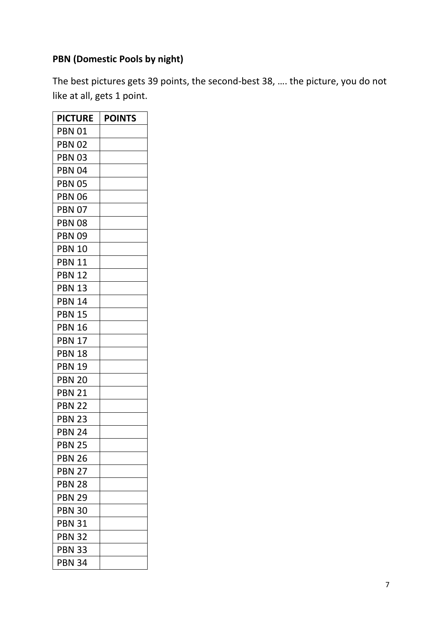# **PBN (Domestic Pools by night)**

The best pictures gets 39 points, the second‐best 38, …. the picture, you do not like at all, gets 1 point.

| <b>PICTURE</b> | <b>POINTS</b> |
|----------------|---------------|
| PBN 01         |               |
| <b>PBN 02</b>  |               |
| PBN 03         |               |
| <b>PBN 04</b>  |               |
| <b>PBN 05</b>  |               |
| <b>PBN 06</b>  |               |
| <b>PBN 07</b>  |               |
| <b>PBN 08</b>  |               |
| <b>PBN 09</b>  |               |
| <b>PBN 10</b>  |               |
| <b>PBN 11</b>  |               |
| <b>PBN 12</b>  |               |
| <b>PBN 13</b>  |               |
| <b>PBN 14</b>  |               |
| <b>PBN 15</b>  |               |
| <b>PBN 16</b>  |               |
| <b>PBN 17</b>  |               |
| <b>PBN 18</b>  |               |
| <b>PBN 19</b>  |               |
| <b>PBN 20</b>  |               |
| <b>PBN 21</b>  |               |
| <b>PBN 22</b>  |               |
| <b>PBN 23</b>  |               |
| PBN 24         |               |
| PBN 25         |               |
| <b>PBN 26</b>  |               |
| <b>PBN 27</b>  |               |
| <b>PBN 28</b>  |               |
| <b>PBN 29</b>  |               |
| <b>PBN 30</b>  |               |
| <b>PBN 31</b>  |               |
| <b>PBN 32</b>  |               |
| <b>PBN 33</b>  |               |
| <b>PBN 34</b>  |               |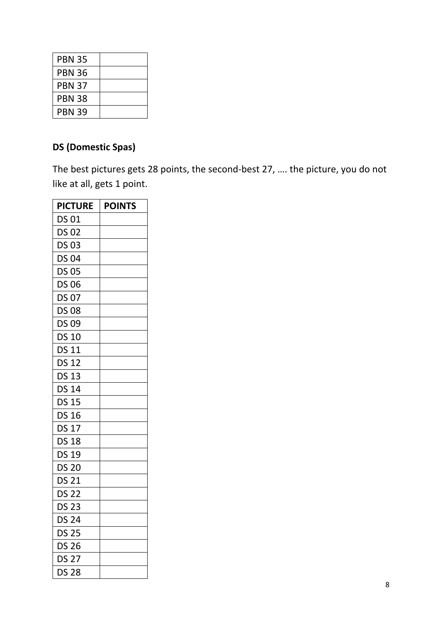| <b>PBN 35</b> |  |
|---------------|--|
| <b>PBN 36</b> |  |
| <b>PBN 37</b> |  |
| <b>PBN 38</b> |  |
| <b>PBN 39</b> |  |

# **DS (Domestic Spas)**

The best pictures gets 28 points, the second‐best 27, …. the picture, you do not like at all, gets 1 point.

| <b>PICTURE</b> | <b>POINTS</b> |
|----------------|---------------|
| DS 01          |               |
| <b>DS 02</b>   |               |
| <b>DS 03</b>   |               |
| <b>DS 04</b>   |               |
| <b>DS 05</b>   |               |
| <b>DS 06</b>   |               |
| <b>DS 07</b>   |               |
| <b>DS 08</b>   |               |
| <b>DS 09</b>   |               |
| <b>DS 10</b>   |               |
| <b>DS 11</b>   |               |
| <b>DS 12</b>   |               |
| <b>DS 13</b>   |               |
| <b>DS 14</b>   |               |
| <b>DS 15</b>   |               |
| <b>DS 16</b>   |               |
| <b>DS 17</b>   |               |
| <b>DS 18</b>   |               |
| <b>DS 19</b>   |               |
| <b>DS 20</b>   |               |
| <b>DS 21</b>   |               |
| <b>DS 22</b>   |               |
| <b>DS 23</b>   |               |
| <b>DS 24</b>   |               |
| <b>DS 25</b>   |               |
| <b>DS 26</b>   |               |
| <b>DS 27</b>   |               |
| <b>DS 28</b>   |               |